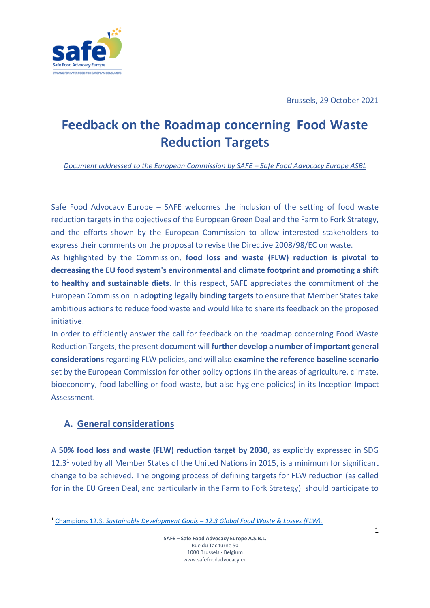

# **Feedback on the Roadmap concerning Food Waste Reduction Targets**

*Document addressed to the European Commission by SAFE – Safe Food Advocacy Europe ASBL*

Safe Food Advocacy Europe – SAFE welcomes the inclusion of the setting of food waste reduction targets in the objectives of the European Green Deal and the Farm to Fork Strategy, and the efforts shown by the European Commission to allow interested stakeholders to express their comments on the proposal to revise the Directive 2008/98/EC on waste.

As highlighted by the Commission, **food loss and waste (FLW) reduction is pivotal to decreasing the EU food system's environmental and climate footprint and promoting a shift to healthy and sustainable diets**. In this respect, SAFE appreciates the commitment of the European Commission in **adopting legally binding targets** to ensure that Member States take ambitious actions to reduce food waste and would like to share its feedback on the proposed initiative.

In order to efficiently answer the call for feedback on the roadmap concerning Food Waste Reduction Targets, the present document will **further develop a number of important general considerations** regarding FLW policies, and will also **examine the reference baseline scenario** set by the European Commission for other policy options (in the areas of agriculture, climate, bioeconomy, food labelling or food waste, but also hygiene policies) in its Inception Impact Assessment.

# **A. General considerations**

A **50% food loss and waste (FLW) reduction target by 2030**, as explicitly expressed in SDG  $12.3<sup>1</sup>$  voted by all Member States of the United Nations in 2015, is a minimum for significant change to be achieved. The ongoing process of defining targets for FLW reduction (as called for in the EU Green Deal, and particularly in the Farm to Fork Strategy) should participate to

<sup>1</sup> Champions 12.3. *Sustainable Development Goals – [12.3 Global Food Waste & Losses \(FLW\).](https://champions123.org/target-123)*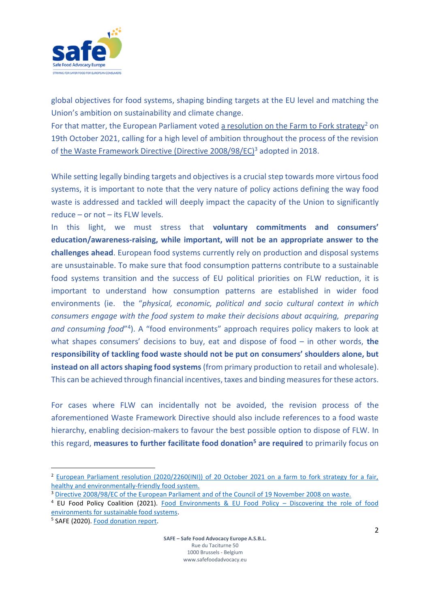

global objectives for food systems, shaping binding targets at the EU level and matching the Union's ambition on sustainability and climate change.

For that matter, the European Parliament voted [a resolution on the Farm to Fork strategy](https://www.europarl.europa.eu/doceo/document/TA-9-2021-0425_EN.pdf)<sup>2</sup> on 19th October 2021, calling for a high level of ambition throughout the process of the revision of [the Waste Framework Directive \(Directive 2008/98/EC\)](https://eur-lex.europa.eu/legal-content/EN/TXT/?uri=CELEX%3A02008L0098-20180705)<sup>3</sup> adopted in 2018.

While setting legally binding targets and objectives is a crucial step towards more virtous food systems, it is important to note that the very nature of policy actions defining the way food waste is addressed and tackled will deeply impact the capacity of the Union to significantly reduce – or not – its FLW levels.

In this light, we must stress that **voluntary commitments and consumers' education/awareness-raising, while important, will not be an appropriate answer to the challenges ahead**. European food systems currently rely on production and disposal systems are unsustainable. To make sure that food consumption patterns contribute to a sustainable food systems transition and the success of EU political priorities on FLW reduction, it is important to understand how consumption patterns are established in wider food environments (ie. the "*physical, economic, political and socio cultural context in which consumers engage with the food system to make their decisions about acquiring, preparing*  and consuming food"<sup>4</sup>). A "food environments" approach requires policy makers to look at what shapes consumers' decisions to buy, eat and dispose of food – in other words, **the responsibility of tackling food waste should not be put on consumers' shoulders alone, but instead on all actors shaping food systems** (from primary production to retail and wholesale). This can be achieved through financial incentives, taxes and binding measures for these actors.

For cases where FLW can incidentally not be avoided, the revision process of the aforementioned Waste Framework Directive should also include references to a food waste hierarchy, enabling decision-makers to favour the best possible option to dispose of FLW. In this regard, **measures to further facilitate food donation<sup>5</sup> are required** to primarily focus on

<sup>2</sup> [European Parliament resolution \(2020/2260\(INI\)\) of 20 October 2021 on a farm to fork strategy for a fair,](https://www.europarl.europa.eu/doceo/document/TA-9-2021-0425_EN.pdf)  [healthy and environmentally-friendly food system.](https://www.europarl.europa.eu/doceo/document/TA-9-2021-0425_EN.pdf)

<sup>3</sup> [Directive 2008/98/EC of the European Parliament and of the Council of 19 November 2008 on waste.](https://eur-lex.europa.eu/legal-content/EN/TXT/?uri=CELEX%3A02008L0098-20180705)

<sup>4</sup> EU Food Policy Coalition (2021). [Food Environments & EU Food Policy](https://foodpolicycoalition.eu/wp-content/uploads/2021/10/Food-Environments-for-SFS_EU-FPC.pdf) – Discovering the role of food [environments for sustainable food systems.](https://foodpolicycoalition.eu/wp-content/uploads/2021/10/Food-Environments-for-SFS_EU-FPC.pdf)

<sup>&</sup>lt;sup>5</sup> SAFE (2020)[. Food donation report.](https://www.safefoodadvocacy.eu/wp-content/uploads/2021/01/Food-Donation-policy-report-Safe-Food-Advocacy-Europe.pdf)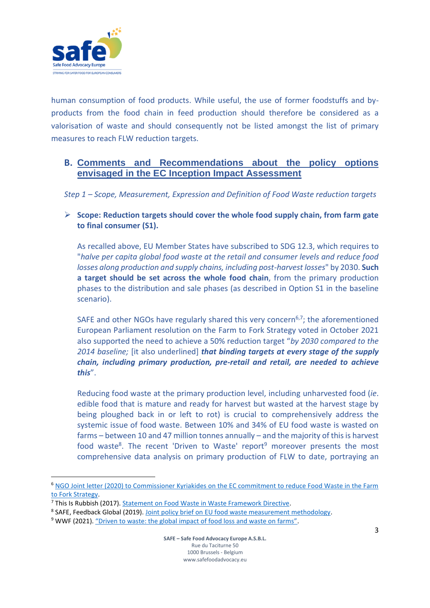

human consumption of food products. While useful, the use of former foodstuffs and byproducts from the food chain in feed production should therefore be considered as a valorisation of waste and should consequently not be listed amongst the list of primary measures to reach FLW reduction targets.

### **B. Comments and Recommendations about the policy options envisaged in the EC Inception Impact Assessment**

*Step 1 – Scope, Measurement, Expression and Definition of Food Waste reduction targets*

➢ **Scope: Reduction targets should cover the whole food supply chain, from farm gate to final consumer (S1).**

As recalled above, EU Member States have subscribed to SDG 12.3, which requires to "*halve per capita global food waste at the retail and consumer levels and reduce food losses along production and supply chains, including post-harvest losses*" by 2030. **Such a target should be set across the whole food chain**, from the primary production phases to the distribution and sale phases (as described in Option S1 in the baseline scenario).

SAFE and other NGOs have regularly shared this very concern<sup>6,7</sup>; the aforementioned European Parliament resolution on the Farm to Fork Strategy voted in October 2021 also supported the need to achieve a 50% reduction target "*by 2030 compared to the 2014 baseline;* [it also underlined] *that binding targets at every stage of the supply chain, including primary production, pre-retail and retail, are needed to achieve this*".

Reducing food waste at the primary production level, including unharvested food (*ie*. edible food that is mature and ready for harvest but wasted at the harvest stage by being ploughed back in or left to rot) is crucial to comprehensively address the systemic issue of food waste. Between 10% and 34% of EU food waste is wasted on farms – between 10 and 47 million tonnes annually – and the majority of this is harvest food waste<sup>8</sup>. The recent 'Driven to Waste' report<sup>9</sup> moreover presents the most comprehensive data analysis on primary production of FLW to date, portraying an

<sup>6</sup> [NGO Joint letter \(2020\) to Commissioner Kyriakides on the EC commitment to reduce Food Waste in the Farm](https://www.safefoodadvocacy.eu/wp-content/uploads/2020/07/NGO-Joint-letter_EC-Commitment-on-Tackling-Food-Waste-in-the-F2F-Strategy.pdf)  [to Fork Strategy.](https://www.safefoodadvocacy.eu/wp-content/uploads/2020/07/NGO-Joint-letter_EC-Commitment-on-Tackling-Food-Waste-in-the-F2F-Strategy.pdf)

<sup>7</sup> This Is Rubbish (2017). [Statement on Food Waste in Waste Framework Directive.](https://www.thisisrubbish.org.uk/wp-content/uploads/2017/11/EU-food-waste-campaign-Statement-on-Waste-Directive.pdf)

<sup>&</sup>lt;sup>8</sup> SAFE, Feedback Global (2019). Joint policy brief on [EU food waste measurement methodology.](https://www.safefoodadvocacy.eu/wp-content/uploads/2020/06/2019_03_Feedback-and-SAFE-policy-brief-EU-food-waste-methodology.pdf)

<sup>&</sup>lt;sup>9</sup> WWF (2021). ["Driven to waste: the global impact of food loss and waste on farms"](https://wwfint.awsassets.panda.org/downloads/technical_report___wwf_farm_stage_food_loss_and_waste.pdf).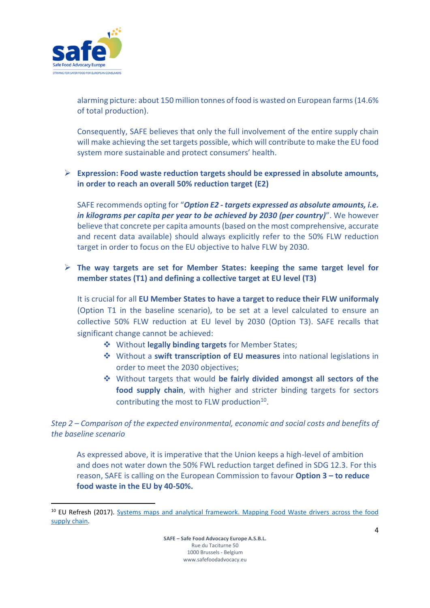

alarming picture: about 150 million tonnes of food is wasted on European farms (14.6% of total production).

Consequently, SAFE believes that only the full involvement of the entire supply chain will make achieving the set targets possible, which will contribute to make the EU food system more sustainable and protect consumers' health.

#### ➢ **Expression: Food waste reduction targets should be expressed in absolute amounts, in order to reach an overall 50% reduction target (E2)**

SAFE recommends opting for "*Option E2 - targets expressed as absolute amounts, i.e. in kilograms per capita per year to be achieved by 2030 (per country)*". We however believe that concrete per capita amounts (based on the most comprehensive, accurate and recent data available) should always explicitly refer to the 50% FLW reduction target in order to focus on the EU objective to halve FLW by 2030.

#### ➢ **The way targets are set for Member States: keeping the same target level for member states (T1) and defining a collective target at EU level (T3)**

It is crucial for all **EU Member States to have a target to reduce their FLW uniformaly** (Option T1 in the baseline scenario), to be set at a level calculated to ensure an collective 50% FLW reduction at EU level by 2030 (Option T3). SAFE recalls that significant change cannot be achieved:

- ❖ Without **legally binding targets** for Member States;
- ❖ Without a **swift transcription of EU measures** into national legislations in order to meet the 2030 objectives;
- ❖ Without targets that would **be fairly divided amongst all sectors of the food supply chain**, with higher and stricter binding targets for sectors contributing the most to FLW production<sup>10</sup>.

*Step 2 – Comparison of the expected environmental, economic and social costs and benefits of the baseline scenario*

As expressed above, it is imperative that the Union keeps a high-level of ambition and does not water down the 50% FWL reduction target defined in SDG 12.3. For this reason, SAFE is calling on the European Commission to favour **Option 3 – to reduce food waste in the EU by 40-50%.**

<sup>&</sup>lt;sup>10</sup> EU Refresh (2017). Systems maps and analytical framework. Mapping Food Waste drivers across the food [supply chain.](https://eu-refresh.org/sites/default/files/D3.1_System%20maps%20and%20analytical%20framework_vf_rev22.06.pdf)